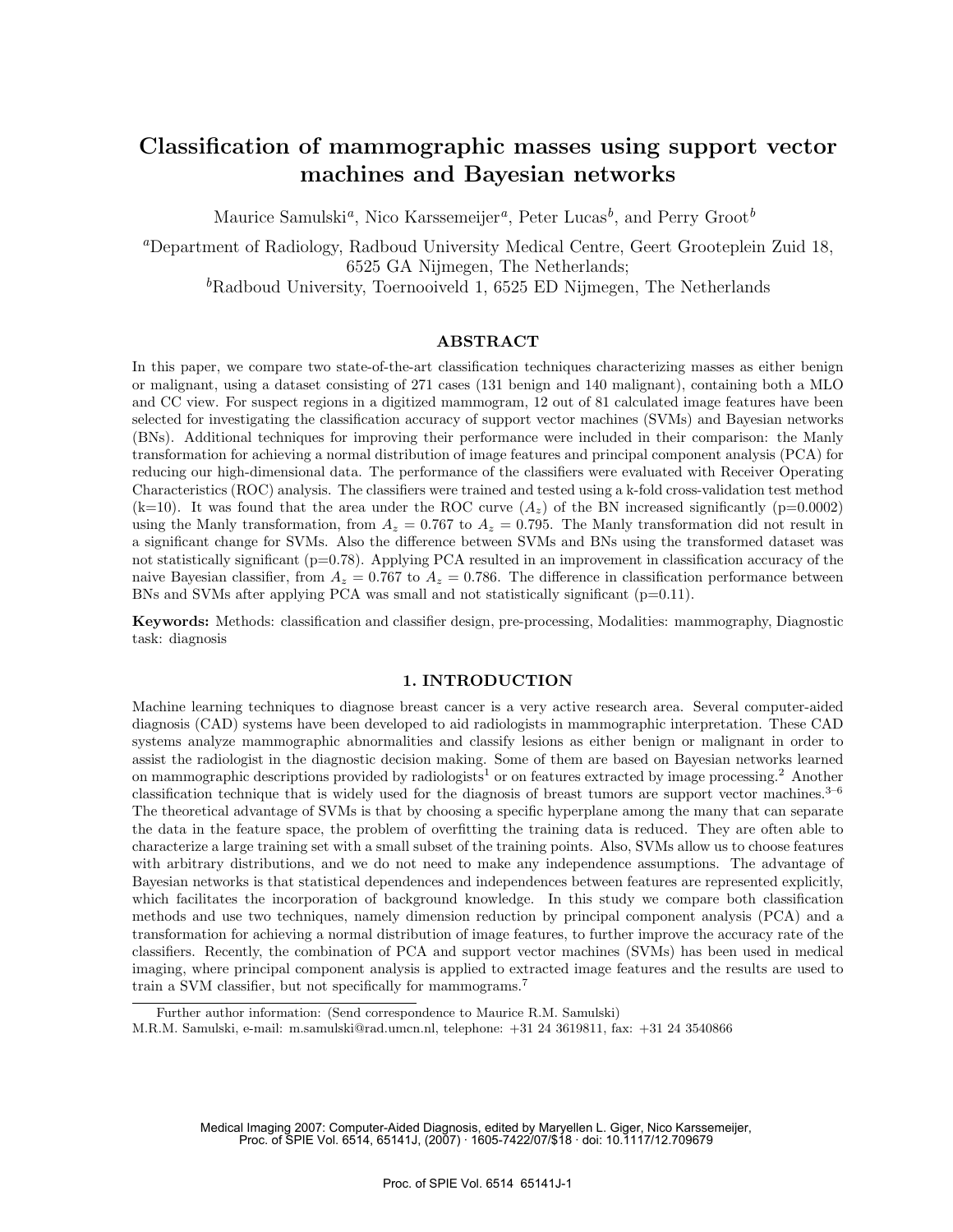# **Classification of mammographic masses using support vector machines and Bayesian networks**

Maurice Samulski<sup>a</sup>, Nico Karssemeijer<sup>a</sup>, Peter Lucas<sup>b</sup>, and Perry Groot<sup>b</sup>

<sup>a</sup>Department of Radiology, Radboud University Medical Centre, Geert Grooteplein Zuid 18, 6525 GA Nijmegen, The Netherlands; <sup>b</sup>Radboud University, Toernooiveld 1, 6525 ED Nijmegen, The Netherlands

# **ABSTRACT**

In this paper, we compare two state-of-the-art classification techniques characterizing masses as either benign or malignant, using a dataset consisting of 271 cases (131 benign and 140 malignant), containing both a MLO and CC view. For suspect regions in a digitized mammogram, 12 out of 81 calculated image features have been selected for investigating the classification accuracy of support vector machines (SVMs) and Bayesian networks (BNs). Additional techniques for improving their performance were included in their comparison: the Manly transformation for achieving a normal distribution of image features and principal component analysis (PCA) for reducing our high-dimensional data. The performance of the classifiers were evaluated with Receiver Operating Characteristics (ROC) analysis. The classifiers were trained and tested using a k-fold cross-validation test method (k=10). It was found that the area under the ROC curve  $(A_z)$  of the BN increased significantly (p=0.0002) using the Manly transformation, from  $A_z = 0.767$  to  $A_z = 0.795$ . The Manly transformation did not result in a significant change for SVMs. Also the difference between SVMs and BNs using the transformed dataset was not statistically significant (p=0.78). Applying PCA resulted in an improvement in classification accuracy of the naive Bayesian classifier, from  $A_z = 0.767$  to  $A_z = 0.786$ . The difference in classification performance between BNs and SVMs after applying PCA was small and not statistically significant  $(p=0.11)$ .

**Keywords:** Methods: classification and classifier design, pre-processing, Modalities: mammography, Diagnostic task: diagnosis

## **1. INTRODUCTION**

Machine learning techniques to diagnose breast cancer is a very active research area. Several computer-aided diagnosis (CAD) systems have been developed to aid radiologists in mammographic interpretation. These CAD systems analyze mammographic abnormalities and classify lesions as either benign or malignant in order to assist the radiologist in the diagnostic decision making. Some of them are based on Bayesian networks learned on mammographic descriptions provided by radiologists<sup>1</sup> or on features extracted by image processing.<sup>2</sup> Another classification technique that is widely used for the diagnosis of breast tumors are support vector machines. $3-6$ The theoretical advantage of SVMs is that by choosing a specific hyperplane among the many that can separate the data in the feature space, the problem of overfitting the training data is reduced. They are often able to characterize a large training set with a small subset of the training points. Also, SVMs allow us to choose features with arbitrary distributions, and we do not need to make any independence assumptions. The advantage of Bayesian networks is that statistical dependences and independences between features are represented explicitly, which facilitates the incorporation of background knowledge. In this study we compare both classification methods and use two techniques, namely dimension reduction by principal component analysis (PCA) and a transformation for achieving a normal distribution of image features, to further improve the accuracy rate of the classifiers. Recently, the combination of PCA and support vector machines (SVMs) has been used in medical imaging, where principal component analysis is applied to extracted image features and the results are used to train a SVM classifier, but not specifically for mammograms.<sup>7</sup>

Medical Imaging 2007: Computer-Aided Diagnosis, edited by Maryellen L. Giger, Nico Karssemeijer, Proc. of SPIE Vol. 6514, 65141J, (2007) · 1605-7422/07/\$18 · doi: 10.1117/12.709679

Further author information: (Send correspondence to Maurice R.M. Samulski) M.R.M. Samulski, e-mail: m.samulski@rad.umcn.nl, telephone: +31 24 3619811, fax: +31 24 3540866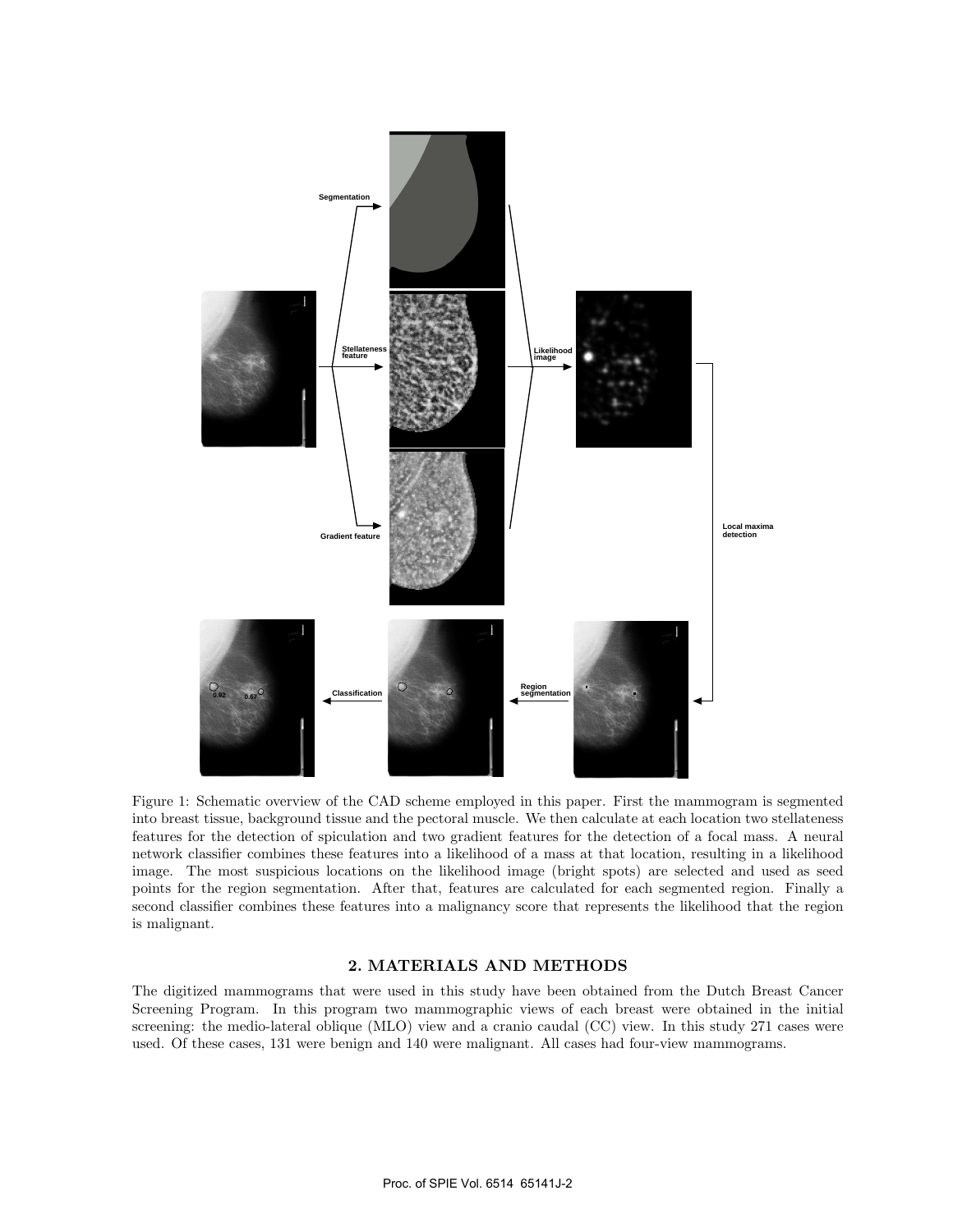

Figure 1: Schematic overview of the CAD scheme employed in this paper. First the mammogram is segmented into breast tissue, background tissue and the pectoral muscle. We then calculate at each location two stellateness features for the detection of spiculation and two gradient features for the detection of a focal mass. A neural network classifier combines these features into a likelihood of a mass at that location, resulting in a likelihood image. The most suspicious locations on the likelihood image (bright spots) are selected and used as seed points for the region segmentation. After that, features are calculated for each segmented region. Finally a second classifier combines these features into a malignancy score that represents the likelihood that the region is malignant.

## **2. MATERIALS AND METHODS**

The digitized mammograms that were used in this study have been obtained from the Dutch Breast Cancer Screening Program. In this program two mammographic views of each breast were obtained in the initial screening: the medio-lateral oblique (MLO) view and a cranio caudal (CC) view. In this study 271 cases were used. Of these cases, 131 were benign and 140 were malignant. All cases had four-view mammograms.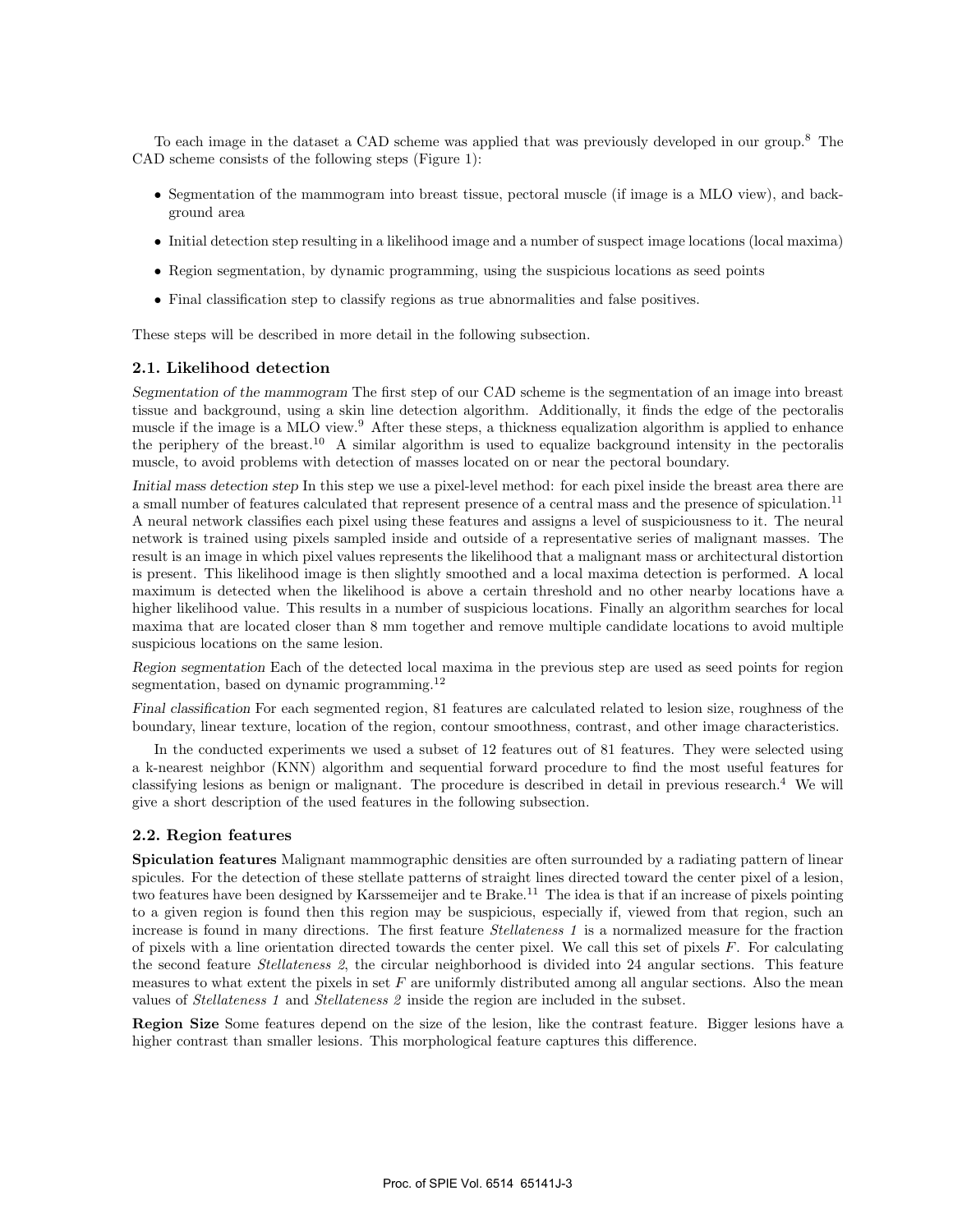To each image in the dataset a CAD scheme was applied that was previously developed in our group.<sup>8</sup> The CAD scheme consists of the following steps (Figure 1):

- Segmentation of the mammogram into breast tissue, pectoral muscle (if image is a MLO view), and background area
- Initial detection step resulting in a likelihood image and a number of suspect image locations (local maxima)
- Region segmentation, by dynamic programming, using the suspicious locations as seed points
- Final classification step to classify regions as true abnormalities and false positives.

These steps will be described in more detail in the following subsection.

# **2.1. Likelihood detection**

*Segmentation of the mammogram* The first step of our CAD scheme is the segmentation of an image into breast tissue and background, using a skin line detection algorithm. Additionally, it finds the edge of the pectoralis muscle if the image is a MLO view.<sup>9</sup> After these steps, a thickness equalization algorithm is applied to enhance the periphery of the breast.<sup>10</sup> A similar algorithm is used to equalize background intensity in the pectoralis muscle, to avoid problems with detection of masses located on or near the pectoral boundary.

*Initial mass detection step* In this step we use a pixel-level method: for each pixel inside the breast area there are a small number of features calculated that represent presence of a central mass and the presence of spiculation.<sup>11</sup> A neural network classifies each pixel using these features and assigns a level of suspiciousness to it. The neural network is trained using pixels sampled inside and outside of a representative series of malignant masses. The result is an image in which pixel values represents the likelihood that a malignant mass or architectural distortion is present. This likelihood image is then slightly smoothed and a local maxima detection is performed. A local maximum is detected when the likelihood is above a certain threshold and no other nearby locations have a higher likelihood value. This results in a number of suspicious locations. Finally an algorithm searches for local maxima that are located closer than 8 mm together and remove multiple candidate locations to avoid multiple suspicious locations on the same lesion.

*Region segmentation* Each of the detected local maxima in the previous step are used as seed points for region segmentation, based on dynamic programming.<sup>12</sup>

*Final classification* For each segmented region, 81 features are calculated related to lesion size, roughness of the boundary, linear texture, location of the region, contour smoothness, contrast, and other image characteristics.

In the conducted experiments we used a subset of 12 features out of 81 features. They were selected using a k-nearest neighbor (KNN) algorithm and sequential forward procedure to find the most useful features for classifying lesions as benign or malignant. The procedure is described in detail in previous research.<sup>4</sup> We will give a short description of the used features in the following subsection.

# **2.2. Region features**

**Spiculation features** Malignant mammographic densities are often surrounded by a radiating pattern of linear spicules. For the detection of these stellate patterns of straight lines directed toward the center pixel of a lesion, two features have been designed by Karssemeijer and te Brake.<sup>11</sup> The idea is that if an increase of pixels pointing to a given region is found then this region may be suspicious, especially if, viewed from that region, such an increase is found in many directions. The first feature Stellateness 1 is a normalized measure for the fraction of pixels with a line orientation directed towards the center pixel. We call this set of pixels F. For calculating the second feature Stellateness 2, the circular neighborhood is divided into 24 angular sections. This feature measures to what extent the pixels in set  $F$  are uniformly distributed among all angular sections. Also the mean values of Stellateness 1 and Stellateness 2 inside the region are included in the subset.

**Region Size** Some features depend on the size of the lesion, like the contrast feature. Bigger lesions have a higher contrast than smaller lesions. This morphological feature captures this difference.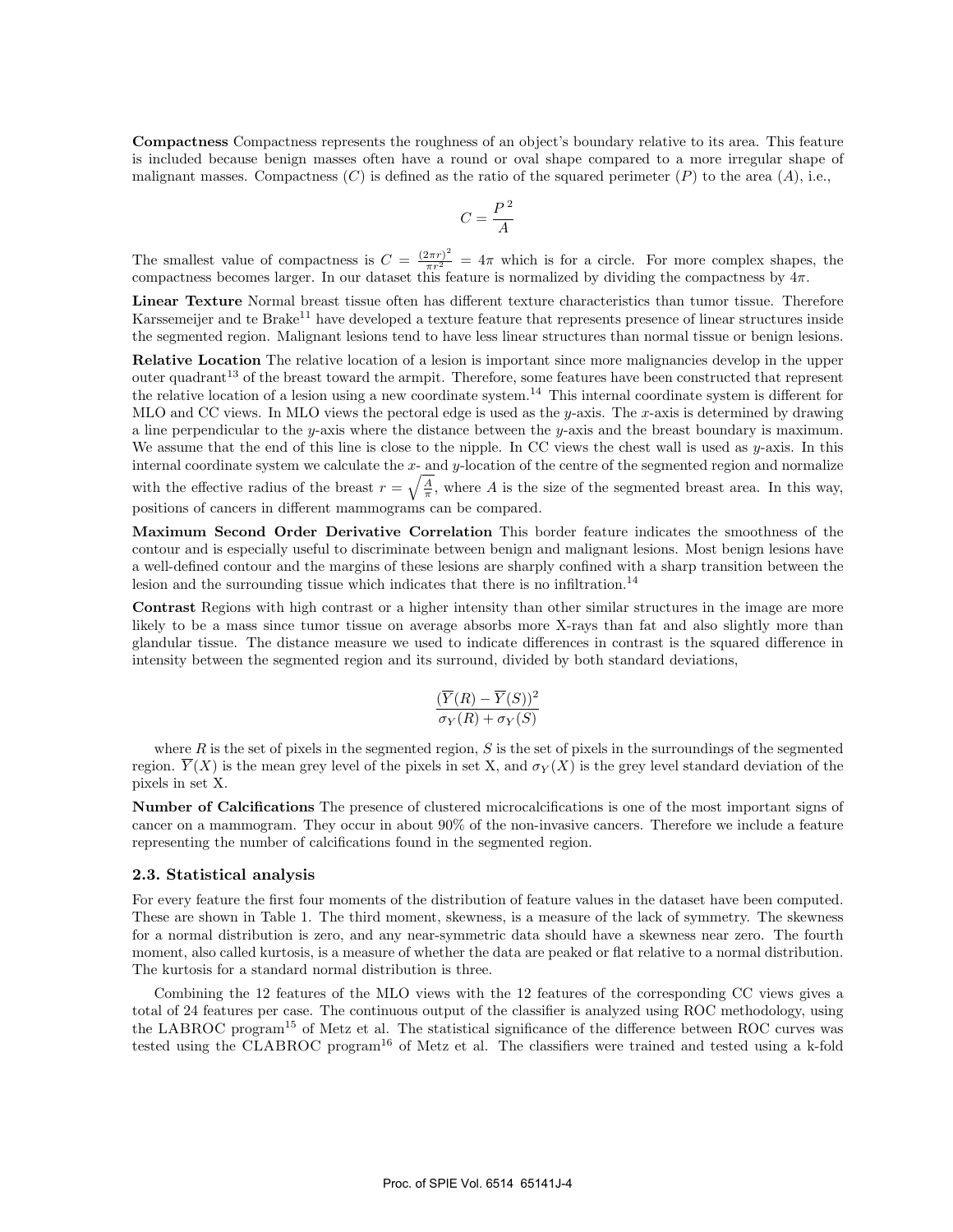**Compactness** Compactness represents the roughness of an object's boundary relative to its area. This feature is included because benign masses often have a round or oval shape compared to a more irregular shape of malignant masses. Compactness  $(C)$  is defined as the ratio of the squared perimeter  $(P)$  to the area  $(A)$ , i.e.,

$$
C = \frac{P^2}{A}
$$

The smallest value of compactness is  $C = \frac{(2\pi r)^2}{\pi r^2} = 4\pi$  which is for a circle. For more complex shapes, the compactness becomes larger. In our dataset this feature is normalized by dividing the compactness by  $4\pi$ .

**Linear Texture** Normal breast tissue often has different texture characteristics than tumor tissue. Therefore Karssemeijer and te Brake<sup>11</sup> have developed a texture feature that represents presence of linear structures inside the segmented region. Malignant lesions tend to have less linear structures than normal tissue or benign lesions.

**Relative Location** The relative location of a lesion is important since more malignancies develop in the upper outer quadrant<sup>13</sup> of the breast toward the armpit. Therefore, some features have been constructed that represent the relative location of a lesion using a new coordinate system.<sup>14</sup> This internal coordinate system is different for MLO and CC views. In MLO views the pectoral edge is used as the y-axis. The x-axis is determined by drawing a line perpendicular to the y-axis where the distance between the y-axis and the breast boundary is maximum. We assume that the end of this line is close to the nipple. In CC views the chest wall is used as  $y$ -axis. In this internal coordinate system we calculate the  $x$ - and  $y$ -location of the centre of the segmented region and normalize with the effective radius of the breast  $r = \sqrt{\frac{A}{\pi}}$ , where A is the size of the segmented breast area. In this way, positions of cancers in different mammograms can be compared.

**Maximum Second Order Derivative Correlation** This border feature indicates the smoothness of the contour and is especially useful to discriminate between benign and malignant lesions. Most benign lesions have a well-defined contour and the margins of these lesions are sharply confined with a sharp transition between the lesion and the surrounding tissue which indicates that there is no infiltration.<sup>14</sup>

**Contrast** Regions with high contrast or a higher intensity than other similar structures in the image are more likely to be a mass since tumor tissue on average absorbs more X-rays than fat and also slightly more than glandular tissue. The distance measure we used to indicate differences in contrast is the squared difference in intensity between the segmented region and its surround, divided by both standard deviations,

$$
\frac{(\overline{Y}(R) - \overline{Y}(S))^2}{\sigma_Y(R) + \sigma_Y(S)}
$$

where  $R$  is the set of pixels in the segmented region,  $S$  is the set of pixels in the surroundings of the segmented region.  $\overline{Y}(X)$  is the mean grey level of the pixels in set X, and  $\sigma_Y(X)$  is the grey level standard deviation of the pixels in set X.

**Number of Calcifications** The presence of clustered microcalcifications is one of the most important signs of cancer on a mammogram. They occur in about 90% of the non-invasive cancers. Therefore we include a feature representing the number of calcifications found in the segmented region.

## **2.3. Statistical analysis**

For every feature the first four moments of the distribution of feature values in the dataset have been computed. These are shown in Table 1. The third moment, skewness, is a measure of the lack of symmetry. The skewness for a normal distribution is zero, and any near-symmetric data should have a skewness near zero. The fourth moment, also called kurtosis, is a measure of whether the data are peaked or flat relative to a normal distribution. The kurtosis for a standard normal distribution is three.

Combining the 12 features of the MLO views with the 12 features of the corresponding CC views gives a total of 24 features per case. The continuous output of the classifier is analyzed using ROC methodology, using the LABROC program<sup>15</sup> of Metz et al. The statistical significance of the difference between ROC curves was tested using the CLABROC program<sup>16</sup> of Metz et al. The classifiers were trained and tested using a k-fold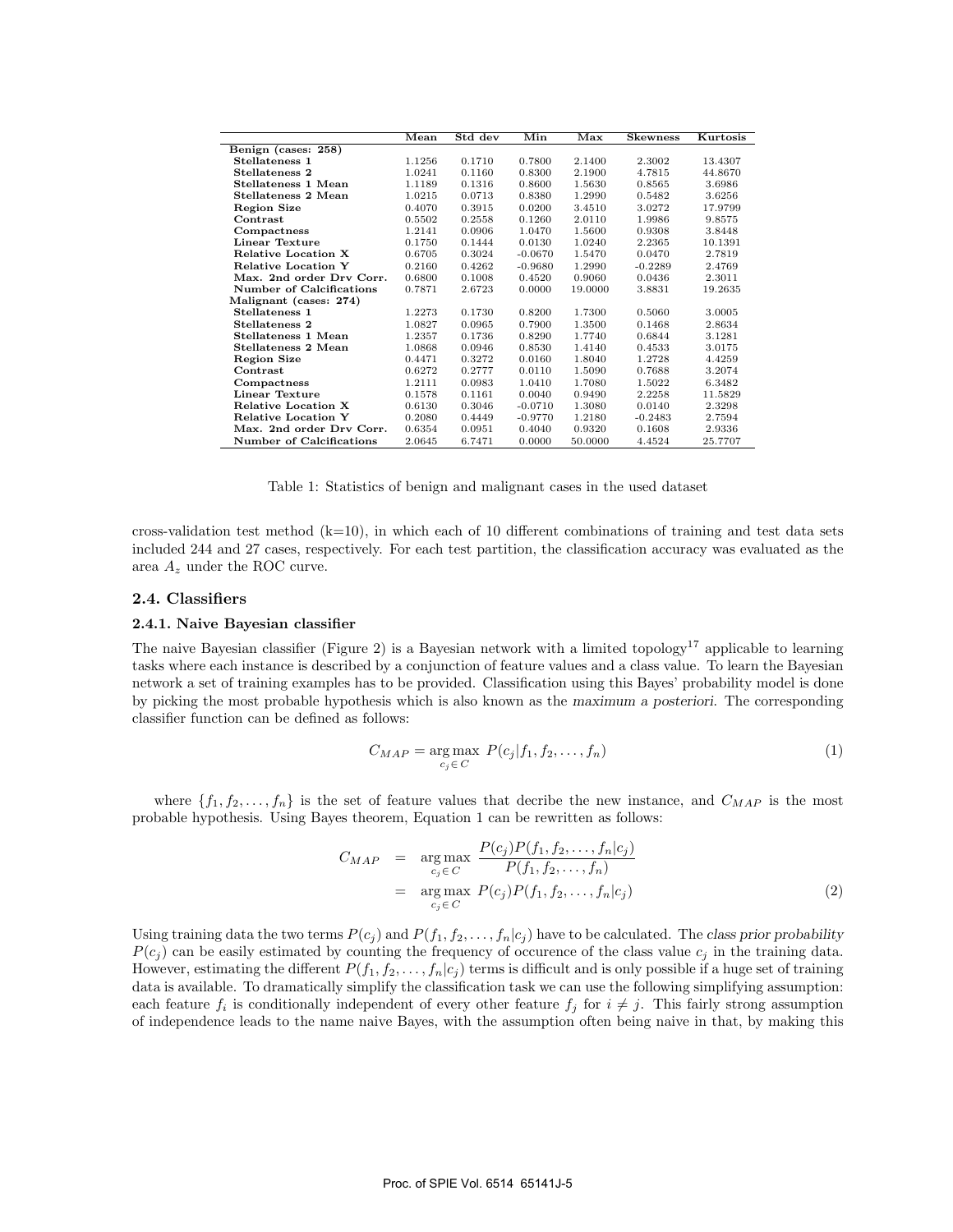|                            | Mean   | Std dev | Min       | Max     | <b>Skewness</b> | Kurtosis |
|----------------------------|--------|---------|-----------|---------|-----------------|----------|
| Benign (cases: 258)        |        |         |           |         |                 |          |
| Stellateness 1             | 1.1256 | 0.1710  | 0.7800    | 2.1400  | 2.3002          | 13.4307  |
| Stellateness 2             | 1.0241 | 0.1160  | 0.8300    | 2.1900  | 4.7815          | 44.8670  |
| Stellateness 1 Mean        | 1.1189 | 0.1316  | 0.8600    | 1.5630  | 0.8565          | 3.6986   |
| Stellateness 2 Mean        | 1.0215 | 0.0713  | 0.8380    | 1.2990  | 0.5482          | 3.6256   |
| <b>Region Size</b>         | 0.4070 | 0.3915  | 0.0200    | 3.4510  | 3.0272          | 17.9799  |
| Contrast                   | 0.5502 | 0.2558  | 0.1260    | 2.0110  | 1.9986          | 9.8575   |
| Compactness                | 1.2141 | 0.0906  | 1.0470    | 1.5600  | 0.9308          | 3.8448   |
| Linear Texture             | 0.1750 | 0.1444  | 0.0130    | 1.0240  | 2.2365          | 10.1391  |
| <b>Relative Location X</b> | 0.6705 | 0.3024  | $-0.0670$ | 1.5470  | 0.0470          | 2.7819   |
| <b>Relative Location Y</b> | 0.2160 | 0.4262  | $-0.9680$ | 1.2990  | $-0.2289$       | 2.4769   |
| Max. 2nd order Drv Corr.   | 0.6800 | 0.1008  | 0.4520    | 0.9060  | 0.0436          | 2.3011   |
| Number of Calcifications   | 0.7871 | 2.6723  | 0.0000    | 19.0000 | 3.8831          | 19.2635  |
| Malignant (cases: 274)     |        |         |           |         |                 |          |
| Stellateness 1             | 1.2273 | 0.1730  | 0.8200    | 1.7300  | 0.5060          | 3.0005   |
| Stellateness 2             | 1.0827 | 0.0965  | 0.7900    | 1.3500  | 0.1468          | 2.8634   |
| Stellateness 1 Mean        | 1.2357 | 0.1736  | 0.8290    | 1.7740  | 0.6844          | 3.1281   |
| Stellateness 2 Mean        | 1.0868 | 0.0946  | 0.8530    | 1.4140  | 0.4533          | 3.0175   |
| <b>Region Size</b>         | 0.4471 | 0.3272  | 0.0160    | 1.8040  | 1.2728          | 4.4259   |
| Contrast                   | 0.6272 | 0.2777  | 0.0110    | 1.5090  | 0.7688          | 3.2074   |
| Compactness                | 1.2111 | 0.0983  | 1.0410    | 1.7080  | 1.5022          | 6.3482   |
| Linear Texture             | 0.1578 | 0.1161  | 0.0040    | 0.9490  | 2.2258          | 11.5829  |
| Relative Location X        | 0.6130 | 0.3046  | $-0.0710$ | 1.3080  | 0.0140          | 2.3298   |
| <b>Relative Location Y</b> | 0.2080 | 0.4449  | $-0.9770$ | 1.2180  | $-0.2483$       | 2.7594   |
| Max. 2nd order Drv Corr.   | 0.6354 | 0.0951  | 0.4040    | 0.9320  | 0.1608          | 2.9336   |
| Number of Calcifications   | 2.0645 | 6.7471  | 0.0000    | 50.0000 | 4.4524          | 25.7707  |

|  |  | Table 1: Statistics of benign and malignant cases in the used dataset |  |  |  |
|--|--|-----------------------------------------------------------------------|--|--|--|
|  |  |                                                                       |  |  |  |

cross-validation test method  $(k=10)$ , in which each of 10 different combinations of training and test data sets included 244 and 27 cases, respectively. For each test partition, the classification accuracy was evaluated as the area  $A_z$  under the ROC curve.

#### **2.4. Classifiers**

## **2.4.1. Naive Bayesian classifier**

The naive Bayesian classifier (Figure 2) is a Bayesian network with a limited topology<sup>17</sup> applicable to learning tasks where each instance is described by a conjunction of feature values and a class value. To learn the Bayesian network a set of training examples has to be provided. Classification using this Bayes' probability model is done by picking the most probable hypothesis which is also known as the *maximum a posteriori*. The corresponding classifier function can be defined as follows:

$$
C_{MAP} = \underset{c_j \in C}{\text{arg}\max} P(c_j|f_1, f_2, \dots, f_n)
$$
\n
$$
(1)
$$

where  $\{f_1, f_2, \ldots, f_n\}$  is the set of feature values that decribe the new instance, and  $C_{MAP}$  is the most probable hypothesis. Using Bayes theorem, Equation 1 can be rewritten as follows:

$$
C_{MAP} = \underset{c_j \in C}{\arg \max} \frac{P(c_j)P(f_1, f_2, \dots, f_n|c_j)}{P(f_1, f_2, \dots, f_n)}
$$
  
= 
$$
\underset{c_j \in C}{\arg \max} P(c_j)P(f_1, f_2, \dots, f_n|c_j)
$$
 (2)

Using training data the two terms  $P(c_j)$  and  $P(f_1, f_2, \ldots, f_n|c_j)$  have to be calculated. The *class prior probability*  $P(c_j)$  can be easily estimated by counting the frequency of occurence of the class value  $c_j$  in the training data. However, estimating the different  $P(f_1, f_2, \ldots, f_n|c_j)$  terms is difficult and is only possible if a huge set of training data is available. To dramatically simplify the classification task we can use the following simplifying assumption: each feature  $f_i$  is conditionally independent of every other feature  $f_j$  for  $i \neq j$ . This fairly strong assumption of independence leads to the name naive Bayes, with the assumption often being naive in that, by making this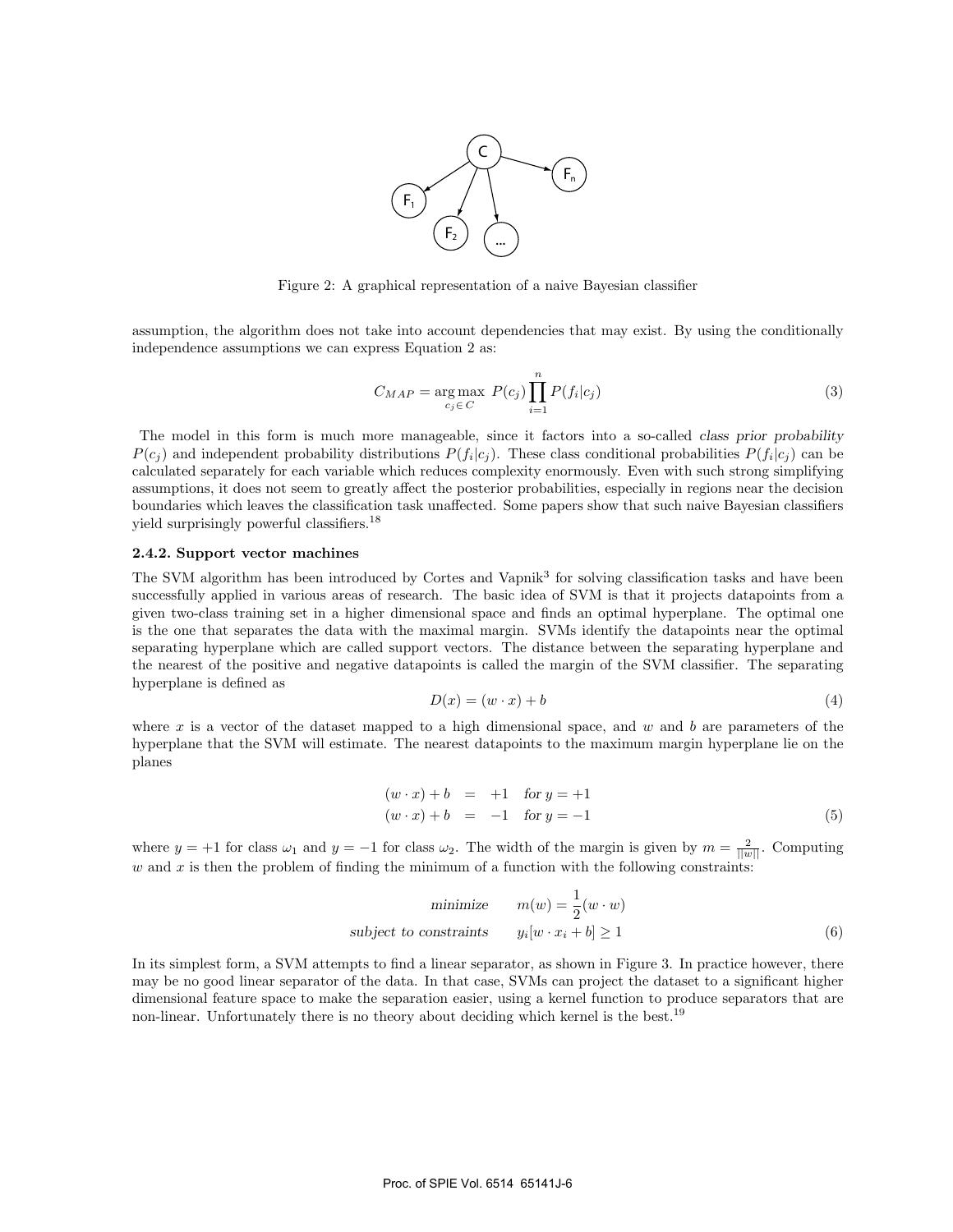

Figure 2: A graphical representation of a naive Bayesian classifier

assumption, the algorithm does not take into account dependencies that may exist. By using the conditionally independence assumptions we can express Equation 2 as:

$$
C_{MAP} = \underset{c_j \in C}{\arg \max} \ P(c_j) \prod_{i=1}^{n} P(f_i|c_j) \tag{3}
$$

The model in this form is much more manageable, since it factors into a so-called *class prior probability*  $P(c_j)$  and independent probability distributions  $P(f_i|c_j)$ . These class conditional probabilities  $P(f_i|c_j)$  can be calculated separately for each variable which reduces complexity enormously. Even with such strong simplifying assumptions, it does not seem to greatly affect the posterior probabilities, especially in regions near the decision boundaries which leaves the classification task unaffected. Some papers show that such naive Bayesian classifiers yield surprisingly powerful classifiers.<sup>18</sup>

## **2.4.2. Support vector machines**

The SVM algorithm has been introduced by Cortes and Vapnik<sup>3</sup> for solving classification tasks and have been successfully applied in various areas of research. The basic idea of SVM is that it projects datapoints from a given two-class training set in a higher dimensional space and finds an optimal hyperplane. The optimal one is the one that separates the data with the maximal margin. SVMs identify the datapoints near the optimal separating hyperplane which are called support vectors. The distance between the separating hyperplane and the nearest of the positive and negative datapoints is called the margin of the SVM classifier. The separating hyperplane is defined as

$$
D(x) = (w \cdot x) + b \tag{4}
$$

where x is a vector of the dataset mapped to a high dimensional space, and w and b are parameters of the hyperplane that the SVM will estimate. The nearest datapoints to the maximum margin hyperplane lie on the planes

$$
(w \cdot x) + b = +1 \quad \text{for } y = +1 (w \cdot x) + b = -1 \quad \text{for } y = -1
$$
 (5)

where  $y = +1$  for class  $\omega_1$  and  $y = -1$  for class  $\omega_2$ . The width of the margin is given by  $m = \frac{2}{||w||}$ . Computing  $w$  and  $x$  is then the problem of finding the minimum of a function with the following constraints:

minimize 
$$
m(w) = \frac{1}{2}(w \cdot w)
$$
  
subject to constraints  $y_i[w \cdot x_i + b] \ge 1$  (6)

In its simplest form, a SVM attempts to find a linear separator, as shown in Figure 3. In practice however, there may be no good linear separator of the data. In that case, SVMs can project the dataset to a significant higher dimensional feature space to make the separation easier, using a kernel function to produce separators that are non-linear. Unfortunately there is no theory about deciding which kernel is the best.<sup>19</sup>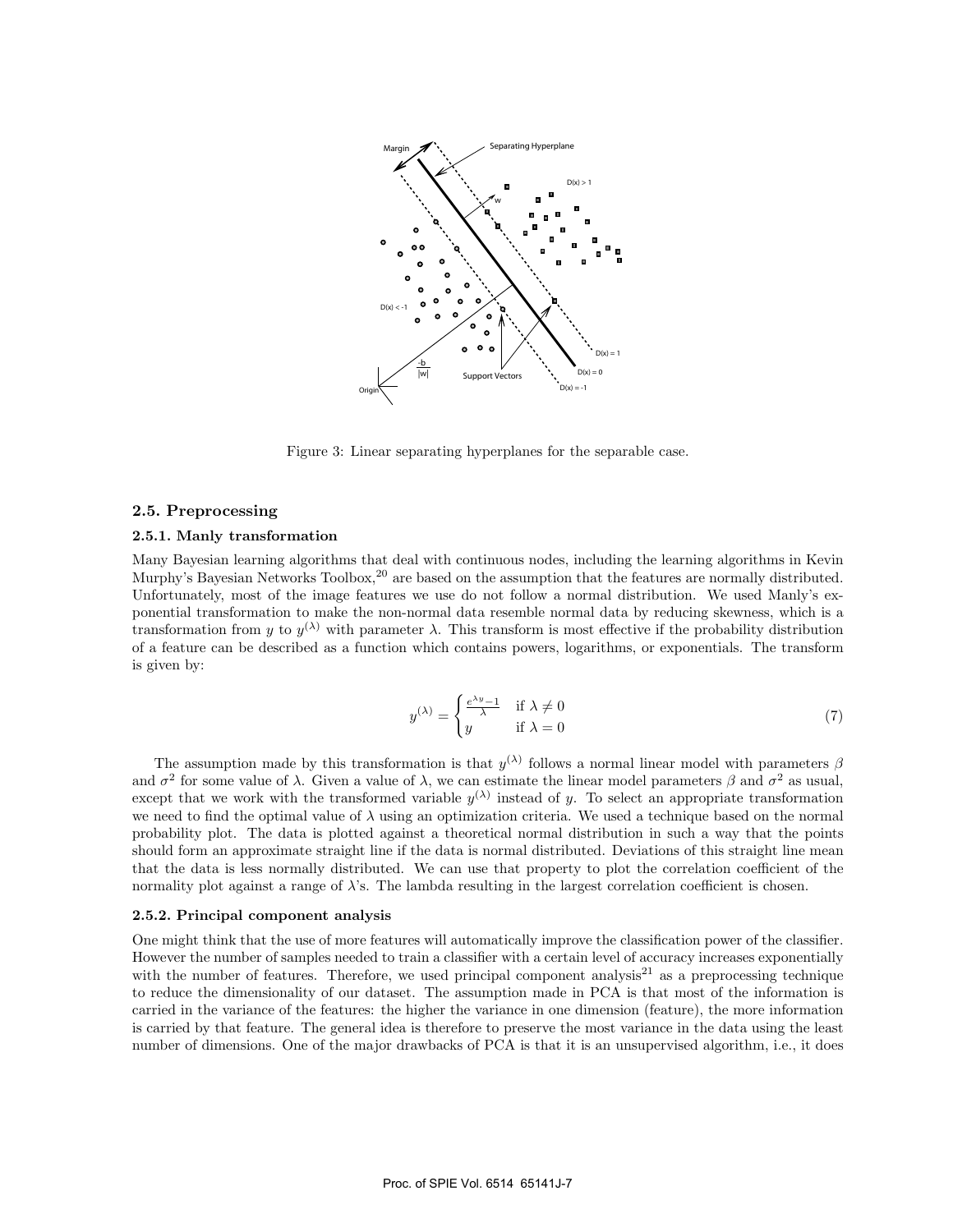

Figure 3: Linear separating hyperplanes for the separable case.

#### **2.5. Preprocessing**

## **2.5.1. Manly transformation**

Many Bayesian learning algorithms that deal with continuous nodes, including the learning algorithms in Kevin Murphy's Bayesian Networks Toolbox,<sup>20</sup> are based on the assumption that the features are normally distributed. Unfortunately, most of the image features we use do not follow a normal distribution. We used Manly's exponential transformation to make the non-normal data resemble normal data by reducing skewness, which is a transformation from y to  $y^{(\lambda)}$  with parameter λ. This transform is most effective if the probability distribution of a feature can be described as a function which contains powers, logarithms, or exponentials. The transform is given by:

$$
y^{(\lambda)} = \begin{cases} \frac{e^{\lambda y} - 1}{\lambda} & \text{if } \lambda \neq 0\\ y & \text{if } \lambda = 0 \end{cases}
$$
 (7)

The assumption made by this transformation is that  $y^{(\lambda)}$  follows a normal linear model with parameters  $\beta$ and  $\sigma^2$  for some value of  $\lambda$ . Given a value of  $\lambda$ , we can estimate the linear model parameters  $\beta$  and  $\sigma^2$  as usual, except that we work with the transformed variable  $y^{(\lambda)}$  instead of y. To select an appropriate transformation we need to find the optimal value of  $\lambda$  using an optimization criteria. We used a technique based on the normal probability plot. The data is plotted against a theoretical normal distribution in such a way that the points should form an approximate straight line if the data is normal distributed. Deviations of this straight line mean that the data is less normally distributed. We can use that property to plot the correlation coefficient of the normality plot against a range of  $\lambda$ 's. The lambda resulting in the largest correlation coefficient is chosen.

#### **2.5.2. Principal component analysis**

One might think that the use of more features will automatically improve the classification power of the classifier. However the number of samples needed to train a classifier with a certain level of accuracy increases exponentially with the number of features. Therefore, we used principal component analysis<sup>21</sup> as a preprocessing technique to reduce the dimensionality of our dataset. The assumption made in PCA is that most of the information is carried in the variance of the features: the higher the variance in one dimension (feature), the more information is carried by that feature. The general idea is therefore to preserve the most variance in the data using the least number of dimensions. One of the major drawbacks of PCA is that it is an unsupervised algorithm, i.e., it does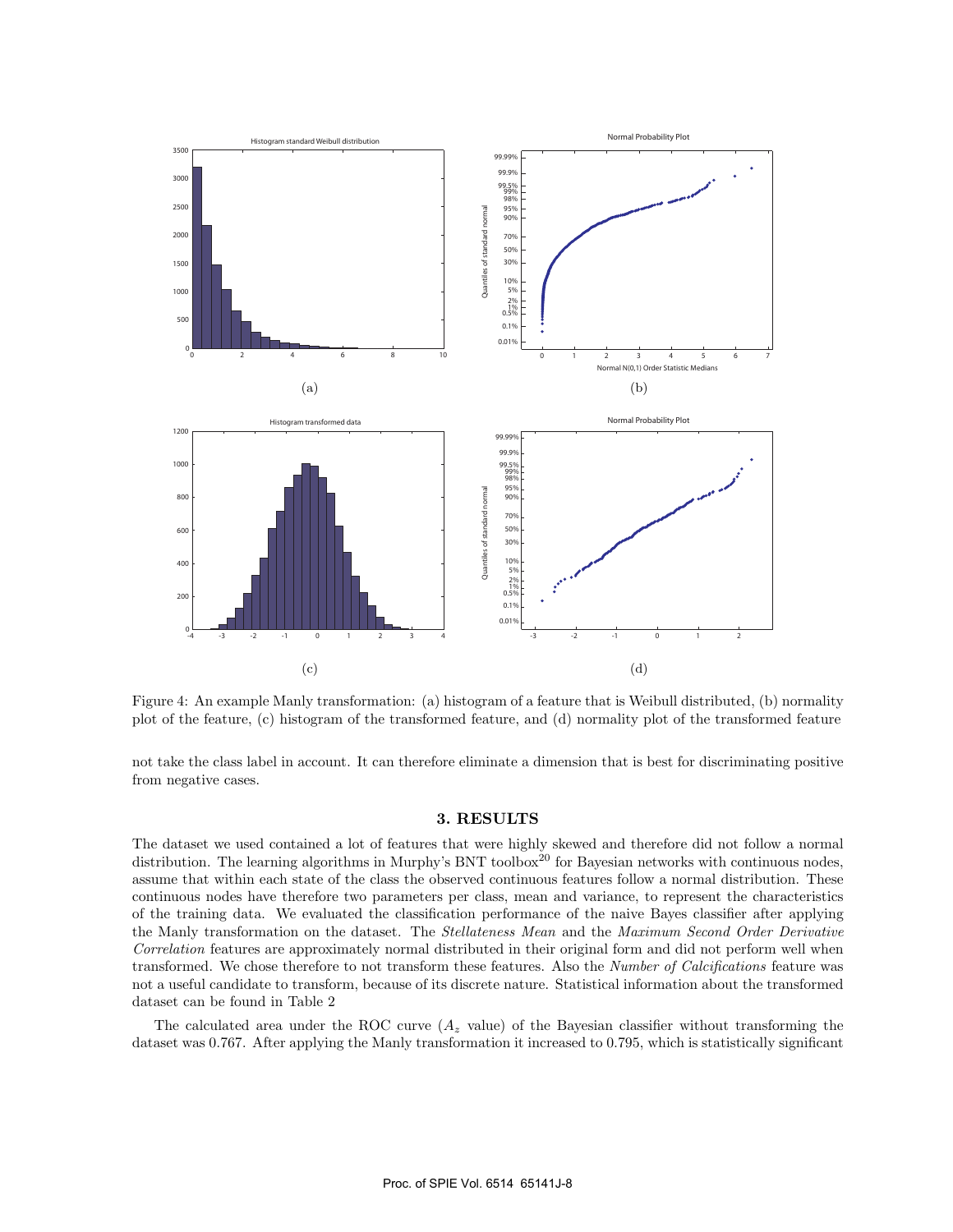

Figure 4: An example Manly transformation: (a) histogram of a feature that is Weibull distributed, (b) normality plot of the feature, (c) histogram of the transformed feature, and (d) normality plot of the transformed feature

not take the class label in account. It can therefore eliminate a dimension that is best for discriminating positive from negative cases.

#### **3. RESULTS**

The dataset we used contained a lot of features that were highly skewed and therefore did not follow a normal distribution. The learning algorithms in Murphy's BNT toolbox<sup>20</sup> for Bayesian networks with continuous nodes, assume that within each state of the class the observed continuous features follow a normal distribution. These continuous nodes have therefore two parameters per class, mean and variance, to represent the characteristics of the training data. We evaluated the classification performance of the naive Bayes classifier after applying the Manly transformation on the dataset. The Stellateness Mean and the Maximum Second Order Derivative Correlation features are approximately normal distributed in their original form and did not perform well when transformed. We chose therefore to not transform these features. Also the Number of Calcifications feature was not a useful candidate to transform, because of its discrete nature. Statistical information about the transformed dataset can be found in Table 2

The calculated area under the ROC curve  $(A_z$  value) of the Bayesian classifier without transforming the dataset was 0.767. After applying the Manly transformation it increased to 0.795, which is statistically significant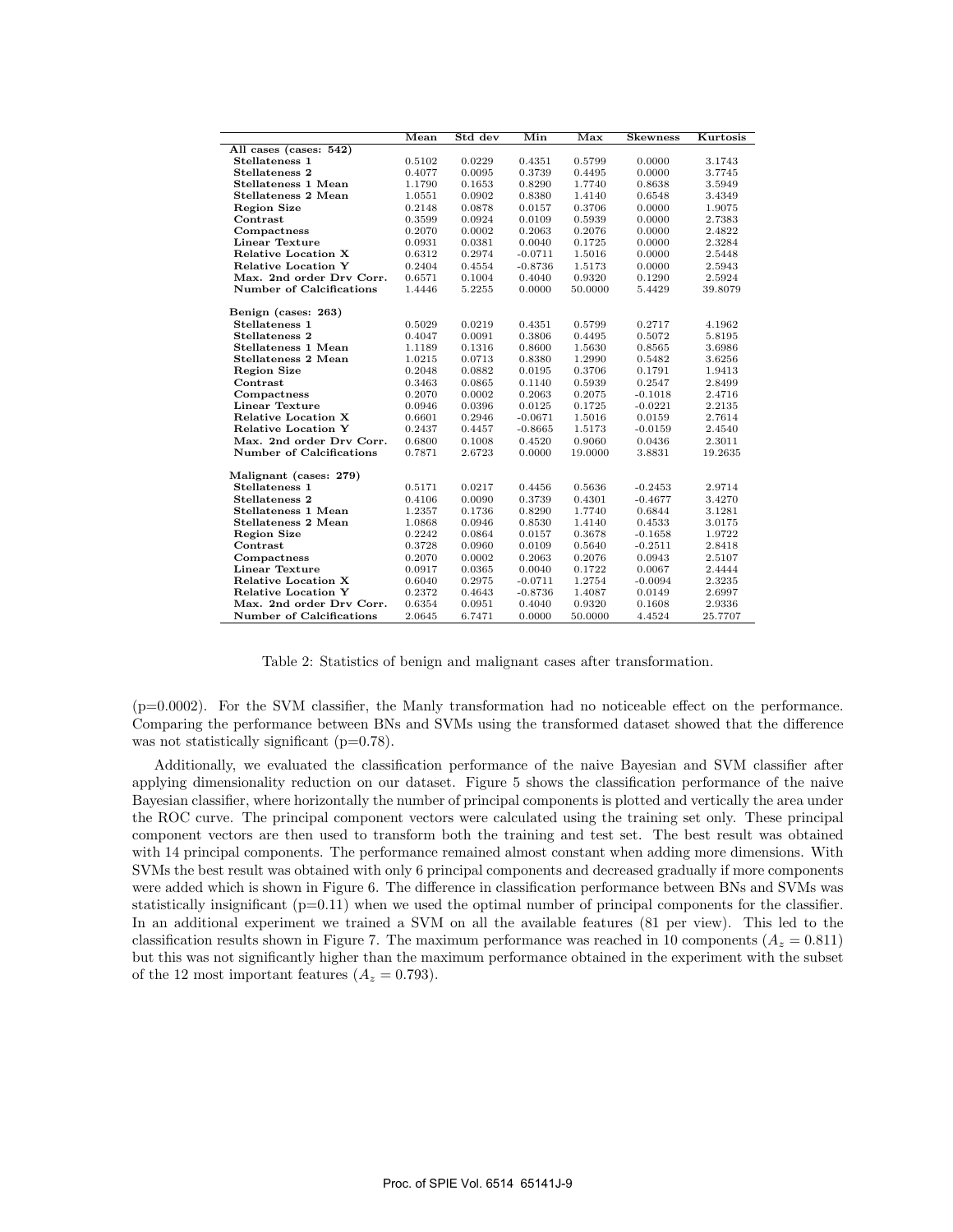|                                 | Mean   | Std dev | Min       | Max     | <b>Skewness</b> | Kurtosis |
|---------------------------------|--------|---------|-----------|---------|-----------------|----------|
| All cases (cases: 542)          |        |         |           |         |                 |          |
| Stellateness 1                  | 0.5102 | 0.0229  | 0.4351    | 0.5799  | 0.0000          | 3.1743   |
| Stellateness 2                  | 0.4077 | 0.0095  | 0.3739    | 0.4495  | 0.0000          | 3.7745   |
| Stellateness 1 Mean             | 1.1790 | 0.1653  | 0.8290    | 1.7740  | 0.8638          | 3.5949   |
| Stellateness 2 Mean             | 1.0551 | 0.0902  | 0.8380    | 1.4140  | 0.6548          | 3.4349   |
| <b>Region Size</b>              | 0.2148 | 0.0878  | 0.0157    | 0.3706  | 0.0000          | 1.9075   |
| Contrast                        | 0.3599 | 0.0924  | 0.0109    | 0.5939  | 0.0000          | 2.7383   |
| Compactness                     | 0.2070 | 0.0002  | 0.2063    | 0.2076  | 0.0000          | 2.4822   |
| Linear Texture                  | 0.0931 | 0.0381  | 0.0040    | 0.1725  | 0.0000          | 2.3284   |
| <b>Relative Location X</b>      | 0.6312 | 0.2974  | $-0.0711$ | 1.5016  | 0.0000          | 2.5448   |
| <b>Relative Location Y</b>      | 0.2404 | 0.4554  | $-0.8736$ | 1.5173  | 0.0000          | 2.5943   |
| Max. 2nd order Drv Corr.        | 0.6571 | 0.1004  | 0.4040    | 0.9320  | 0.1290          | 2.5924   |
| <b>Number of Calcifications</b> | 1.4446 | 5.2255  | 0.0000    | 50.0000 | 5.4429          | 39.8079  |
|                                 |        |         |           |         |                 |          |
| Benign (cases: 263)             |        |         |           |         |                 |          |
| Stellateness 1                  | 0.5029 | 0.0219  | 0.4351    | 0.5799  | 0.2717          | 4.1962   |
| Stellateness 2                  | 0.4047 | 0.0091  | 0.3806    | 0.4495  | 0.5072          | 5.8195   |
| Stellateness 1 Mean             | 1.1189 | 0.1316  | 0.8600    | 1.5630  | 0.8565          | 3.6986   |
| Stellateness 2 Mean             | 1.0215 | 0.0713  | 0.8380    | 1.2990  | 0.5482          | 3.6256   |
| <b>Region Size</b>              | 0.2048 | 0.0882  | 0.0195    | 0.3706  | 0.1791          | 1.9413   |
| Contrast                        | 0.3463 | 0.0865  | 0.1140    | 0.5939  | 0.2547          | 2.8499   |
| Compactness                     | 0.2070 | 0.0002  | 0.2063    | 0.2075  | $-0.1018$       | 2.4716   |
| Linear Texture                  | 0.0946 | 0.0396  | 0.0125    | 0.1725  | $-0.0221$       | 2.2135   |
| <b>Relative Location X</b>      | 0.6601 | 0.2946  | $-0.0671$ | 1.5016  | 0.0159          | 2.7614   |
| <b>Relative Location Y</b>      | 0.2437 | 0.4457  | $-0.8665$ | 1.5173  | $-0.0159$       | 2.4540   |
| Max. 2nd order Drv Corr.        | 0.6800 | 0.1008  | 0.4520    | 0.9060  | 0.0436          | 2.3011   |
| Number of Calcifications        | 0.7871 | 2.6723  | 0.0000    | 19.0000 | 3.8831          | 19.2635  |
| Malignant (cases: 279)          |        |         |           |         |                 |          |
| Stellateness 1                  | 0.5171 | 0.0217  | 0.4456    | 0.5636  | $-0.2453$       | 2.9714   |
| Stellateness 2                  | 0.4106 | 0.0090  | 0.3739    | 0.4301  | $-0.4677$       | 3.4270   |
| Stellateness 1 Mean             | 1.2357 | 0.1736  | 0.8290    | 1.7740  | 0.6844          | 3.1281   |
| Stellateness 2 Mean             | 1.0868 | 0.0946  | 0.8530    | 1.4140  | 0.4533          | 3.0175   |
| <b>Region Size</b>              | 0.2242 | 0.0864  | 0.0157    | 0.3678  | $-0.1658$       | 1.9722   |
| Contrast                        | 0.3728 | 0.0960  | 0.0109    | 0.5640  | $-0.2511$       | 2.8418   |
| Compactness                     | 0.2070 | 0.0002  | 0.2063    | 0.2076  | 0.0943          | 2.5107   |
| Linear Texture                  | 0.0917 | 0.0365  | 0.0040    | 0.1722  | 0.0067          | 2.4444   |
| <b>Relative Location X</b>      | 0.6040 | 0.2975  | $-0.0711$ | 1.2754  | $-0.0094$       | 2.3235   |
| <b>Relative Location Y</b>      | 0.2372 | 0.4643  | $-0.8736$ | 1.4087  | 0.0149          | 2.6997   |
| Max. 2nd order Dry Corr.        | 0.6354 | 0.0951  | 0.4040    | 0.9320  | 0.1608          | 2.9336   |
| <b>Number of Calcifications</b> | 2.0645 | 6.7471  | 0.0000    | 50.0000 | 4.4524          | 25.7707  |

Table 2: Statistics of benign and malignant cases after transformation.

(p=0.0002). For the SVM classifier, the Manly transformation had no noticeable effect on the performance. Comparing the performance between BNs and SVMs using the transformed dataset showed that the difference was not statistically significant (p=0.78).

Additionally, we evaluated the classification performance of the naive Bayesian and SVM classifier after applying dimensionality reduction on our dataset. Figure 5 shows the classification performance of the naive Bayesian classifier, where horizontally the number of principal components is plotted and vertically the area under the ROC curve. The principal component vectors were calculated using the training set only. These principal component vectors are then used to transform both the training and test set. The best result was obtained with 14 principal components. The performance remained almost constant when adding more dimensions. With SVMs the best result was obtained with only 6 principal components and decreased gradually if more components were added which is shown in Figure 6. The difference in classification performance between BNs and SVMs was statistically insignificant  $(p=0.11)$  when we used the optimal number of principal components for the classifier. In an additional experiment we trained a SVM on all the available features (81 per view). This led to the classification results shown in Figure 7. The maximum performance was reached in 10 components ( $A_z = 0.811$ ) but this was not significantly higher than the maximum performance obtained in the experiment with the subset of the 12 most important features  $(A_z = 0.793)$ .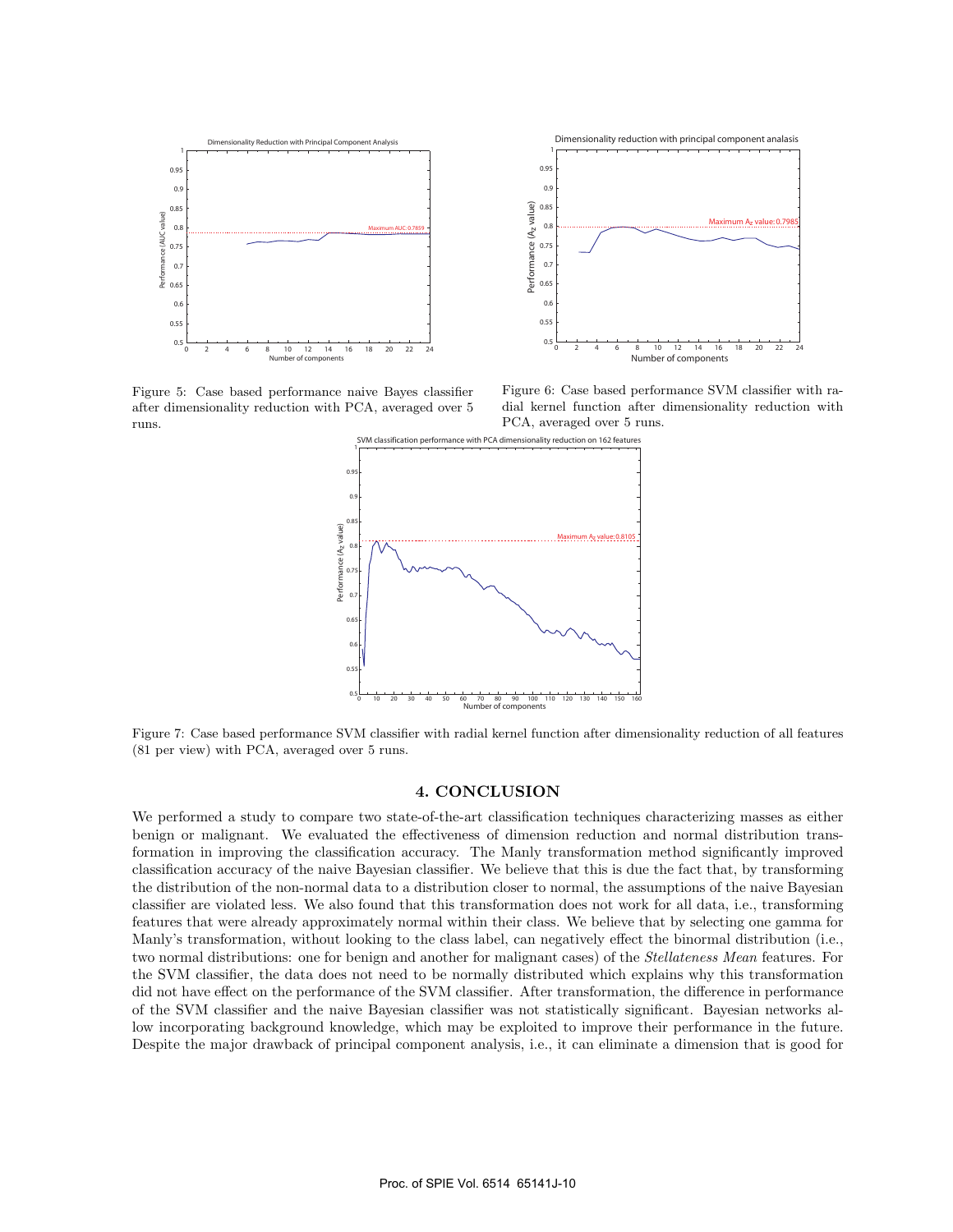



Figure 5: Case based performance naive Bayes classifier after dimensionality reduction with PCA, averaged over 5 runs.

Figure 6: Case based performance SVM classifier with radial kernel function after dimensionality reduction with PCA, averaged over 5 runs.



Figure 7: Case based performance SVM classifier with radial kernel function after dimensionality reduction of all features (81 per view) with PCA, averaged over 5 runs.

## **4. CONCLUSION**

We performed a study to compare two state-of-the-art classification techniques characterizing masses as either benign or malignant. We evaluated the effectiveness of dimension reduction and normal distribution transformation in improving the classification accuracy. The Manly transformation method significantly improved classification accuracy of the naive Bayesian classifier. We believe that this is due the fact that, by transforming the distribution of the non-normal data to a distribution closer to normal, the assumptions of the naive Bayesian classifier are violated less. We also found that this transformation does not work for all data, i.e., transforming features that were already approximately normal within their class. We believe that by selecting one gamma for Manly's transformation, without looking to the class label, can negatively effect the binormal distribution (i.e., two normal distributions: one for benign and another for malignant cases) of the *Stellateness Mean* features. For the SVM classifier, the data does not need to be normally distributed which explains why this transformation did not have effect on the performance of the SVM classifier. After transformation, the difference in performance of the SVM classifier and the naive Bayesian classifier was not statistically significant. Bayesian networks allow incorporating background knowledge, which may be exploited to improve their performance in the future. Despite the major drawback of principal component analysis, i.e., it can eliminate a dimension that is good for